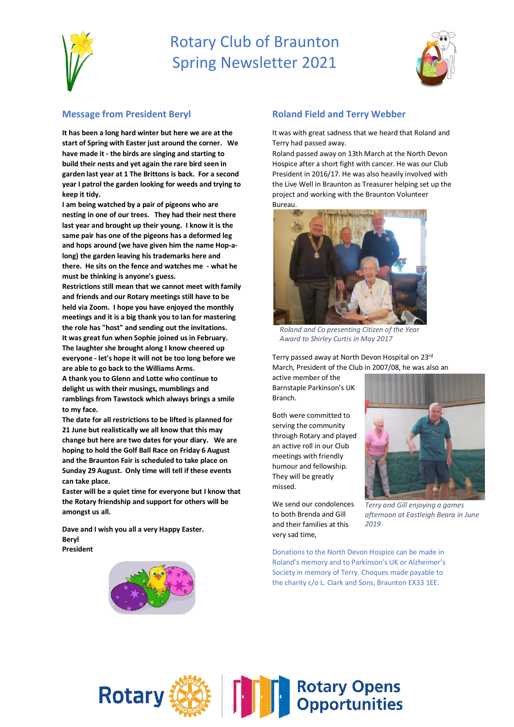

# Rotary Club of Braunton Spring Newsletter 2021



### **Message from President Beryl**

**It has been a long hard winter but here we are at the start of Spring with Easter just around the corner. We have made it - the birds are singing and starting to build their nests and yet again the rare bird seen in garden last year at 1 The Brittons is back. For a second year I patrol the garden looking for weeds and trying to keep it tidy.** 

**I am being watched by a pair of pigeons who are nesting in one of our trees. They had their nest there last year and brought up their young. I know it is the same pair has one of the pigeons has a deformed leg and hops around (we have given him the name Hop-along) the garden leaving his trademarks here and there. He sits on the fence and watches me - what he must be thinking is anyone's guess.** 

**Restrictions still mean that we cannot meet with family and friends and our Rotary meetings still have to be held via Zoom. I hope you have enjoyed the monthly meetings and it is a big thank you to Ian for mastering the role has "host" and sending out the invitations. It was great fun when Sophie joined us in February. The laughter she brought along I know cheered up everyone - let's hope it will not be too long before we are able to go back to the Williams Arms.**

**A thank you to Glenn and Lotte who continue to delight us with their musings, mumblings and ramblings from Tawstock which always brings a smile to my face.** 

**The date for all restrictions to be lifted is planned for 21 June but realistically we all know that this may change but here are two dates for your diary. We are hoping to hold the Golf Ball Race on Friday 6 August and the Braunton Fair is scheduled to take place on Sunday 29 August. Only time will tell if these events can take place.**

**Easter will be a quiet time for everyone but I know that the Rotary friendship and support for others will be amongst us all.**

**Dave and I wish you all a very Happy Easter. Beryl President**



### **Roland Field and Terry Webber**

It was with great sadness that we heard that Roland and Terry had passed away.

Roland passed away on 13th March at the North Devon Hospice after a short fight with cancer. He was our Club President in 2016/17. He was also heavily involved with the Live Well in Braunton as Treasurer helping set up the project and working with the Braunton Volunteer Bureau.



*Roland and Co presenting Citizen of the Year Award to Shirley Curtis in May 2017*

Terry passed away at North Devon Hospital on 23rd March, President of the Club in 2007/08, he was also an

active member of the Barnstaple Parkinson's UK Branch.

Both were committed to serving the community through Rotary and played an active roll in our Club meetings with friendly humour and fellowship. They will be greatly missed.

We send our condolences to both Brenda and Gill and their families at this very sad time,



*Terry and Gill enjoying a games afternoon at Eastleigh Beara in June 2019*

Donations to the North Devon Hospice can be made in Roland's memory and to Parkinson's UK or Alzheimer's Society in memory of Terry. Cheques made payable to the charity c/o L. Clark and Sons, Braunton EX33 1EE.

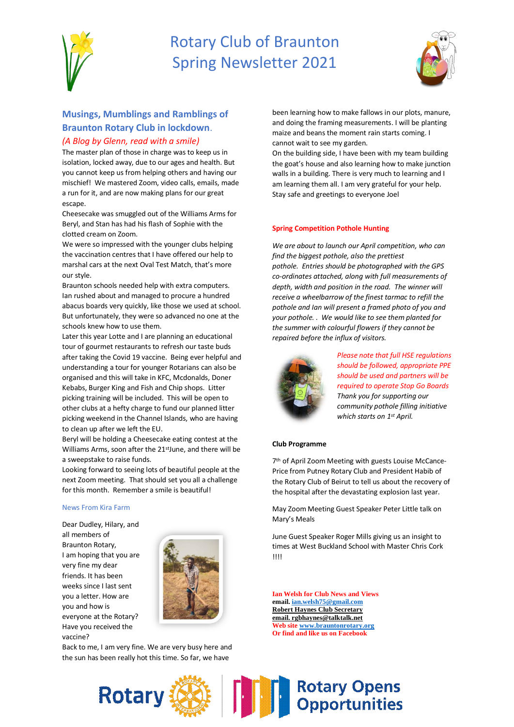

# Rotary Club of Braunton Spring Newsletter 2021



## **Musings, Mumblings and Ramblings of Braunton Rotary Club in lockdown**.

### *(A Blog by Glenn, read with a smile)*

The master plan of those in charge was to keep us in isolation, locked away, due to our ages and health. But you cannot keep us from helping others and having our mischief! We mastered Zoom, video calls, emails, made a run for it, and are now making plans for our great escape.

Cheesecake was smuggled out of the Williams Arms for Beryl, and Stan has had his flash of Sophie with the clotted cream on Zoom.

We were so impressed with the younger clubs helping the vaccination centres that I have offered our help to marshal cars at the next Oval Test Match, that's more our style.

Braunton schools needed help with extra computers. Ian rushed about and managed to procure a hundred abacus boards very quickly, like those we used at school. But unfortunately, they were so advanced no one at the schools knew how to use them.

Later this year Lotte and I are planning an educational tour of gourmet restaurants to refresh our taste buds after taking the Covid 19 vaccine. Being ever helpful and understanding a tour for younger Rotarians can also be organised and this will take in KFC, Mcdonalds, Doner Kebabs, Burger King and Fish and Chip shops. Litter picking training will be included. This will be open to other clubs at a hefty charge to fund our planned litter picking weekend in the Channel Islands, who are having to clean up after we left the EU.

Beryl will be holding a Cheesecake eating contest at the Williams Arms, soon after the 21<sup>st</sup>June, and there will be a sweepstake to raise funds.

Looking forward to seeing lots of beautiful people at the next Zoom meeting. That should set you all a challenge for this month. Remember a smile is beautiful!

#### News From Kira Farm

Dear Dudley, Hilary, and all members of Braunton Rotary, I am hoping that you are very fine my dear friends. It has been weeks since I last sent you a letter. How are you and how is everyone at the Rotary? Have you received the vaccine?



Back to me, I am very fine. We are very busy here and the sun has been really hot this time. So far, we have

been learning how to make fallows in our plots, manure, and doing the framing measurements. I will be planting maize and beans the moment rain starts coming. I cannot wait to see my garden.

On the building side, I have been with my team building the goat's house and also learning how to make junction walls in a building. There is very much to learning and I am learning them all. I am very grateful for your help. Stay safe and greetings to everyone Joel

#### **Spring Competition Pothole Hunting**

*We are about to launch our April competition, who can find the biggest pothole, also the prettiest pothole. Entries should be photographed with the GPS co-ordinates attached, along with full measurements of depth, width and position in the road. The winner will receive a wheelbarrow of the finest tarmac to refill the pothole and Ian will present a framed photo of you and your pothole. . We would like to see them planted for the summer with colourful flowers if they cannot be repaired before the influx of visitors.*



*Please note that full HSE regulations should be followed, appropriate PPE should be used and partners will be required to operate Stop Go Boards Thank you for supporting our community pothole filling initiative which starts on 1st April.*

#### **Club Programme**

7 th of April Zoom Meeting with guests Louise McCance-Price from Putney Rotary Club and President Habib of the Rotary Club of Beirut to tell us about the recovery of the hospital after the devastating explosion last year.

May Zoom Meeting Guest Speaker Peter Little talk on Mary's Meals

June Guest Speaker Roger Mills giving us an insight to times at West Buckland School with Master Chris Cork !!!!

**Ian Welsh for Club News and Views email[. ian.welsh75@gmail.com](mailto:ian.welsh75@gmail.com) Robert Haynes Club Secretary email. rgbhaynes@talktalk.net Web site [www.brauntonrotary.org](http://www.brauntonrotary.org/) Or find and like us on Facebook**